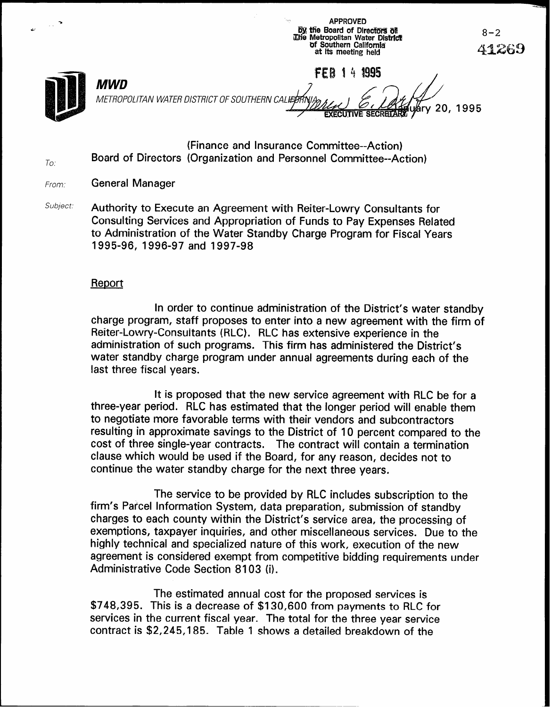**By the Board of Directors of** The Metropolitan Water District of Southern California at its meeting held **FEB 14 1995 MWD** METROPOLITAN WATER DISTRICT OF SOUTHERN CA árv 20, 1995

**APPROVED** 

(Finance and Insurance Committee--Action) Board of Directors (Organization and Personnel Committee--Action)

From: **General Manager** 

To.

Subject: Authority to Execute an Agreement with Reiter-Lowry Consultants for Consulting Services and Appropriation of Funds to Pay Expenses Related to Administration of the Water Standby Charge Program for Fiscal Years 1995-96, 1996-97 and 1997-98

#### Report

In order to continue administration of the District's water standby charge program, staff proposes to enter into a new agreement with the firm of Reiter-Lowry-Consuitants (RLC). RLC has extensive experience in the administration of such programs. This firm has administered the District's water standby charge program under annual agreements during each of the last three fiscal years.

It is proposed that the new service agreement with RLC be for a three-year period. RLC has estimated that the longer period will enable them to negotiate more favorable terms with their vendors and subcontractors resulting in approximate savings to the District of IO percent compared to the cost of three single-year contracts. The contract will contain a termination clause which would be used if the Board, for any reason, decides not to continue the water standby charge for the next three years.

The service to be provided by RLC includes subscription to the firm's Par'cel Information System, data preparation, submission of standby charges to each county within the District's service area, the processing of exemptions, taxpayer inquiries, and other miscellaneous services. Due to the highly technical and specialized nature of this work, execution of the new agreement is considered exempt from competitive bidding requirements under Administrative Code Section 8103 (i).

The estimated annual cost for the proposed services is \$748,395. This is a decrease of \$130,600 from payments to RLC for services in the current fiscal year. The total for the three year service contract is \$2,245,185. Table 1 shows a detailed breakdown of the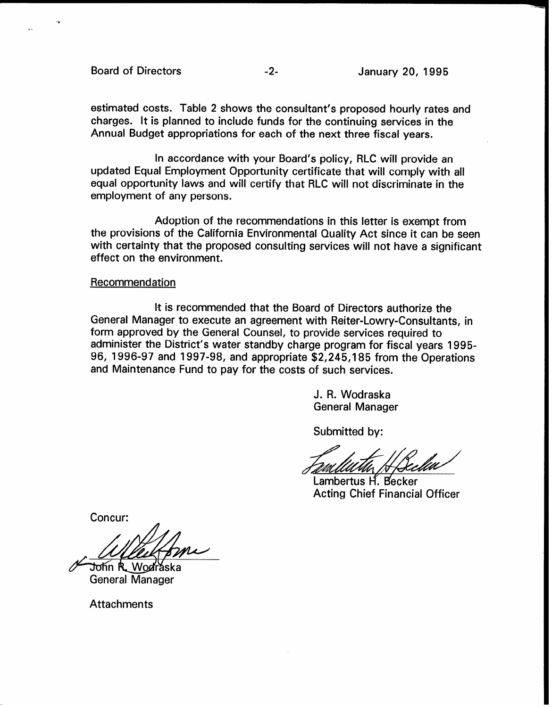Board of Directors **-2-** -2- January 20, 1995

estimated costs. Table 2 shows the consultant's proposed hourly rates and charges. It is planned to include funds for the continuing services in the Annual Budget appropriations for each of the next three fiscal years.

In accordance with your Board's policy, RLC will provide an updated Equal Employment Opportunity certificate that will comply with all equal opportunity laws and will certify that RLC will not discriminate in the employment of any persons.

Adoption of the recommendations in this letter is exempt from the provisions of the California Environmental Quality Act since it can be seen with certainty that the proposed consulting services will not have a significant effect on the environment.

#### **Recommendation**

It is recommended that the Board of Directors authorize the General Manager to execute an agreement with Reiter-Lowry-Consultants, in form approved by the General Counsel, to provide services required to administer the District's water standby charge program for fiscal years 1995- 96, 1996-97 and 1997-98, and appropriate \$2,245,185 from the Operations and Maintenance Fund to pay for the costs of such services.

> J. R. Wodraska General Manager

Submitted by:

Lambertus H. Becker Acting Chief Financial Officer

Concur:

 $\nu$ yii

 $\mathscr{C}$  John K W General Manager

**Attachments**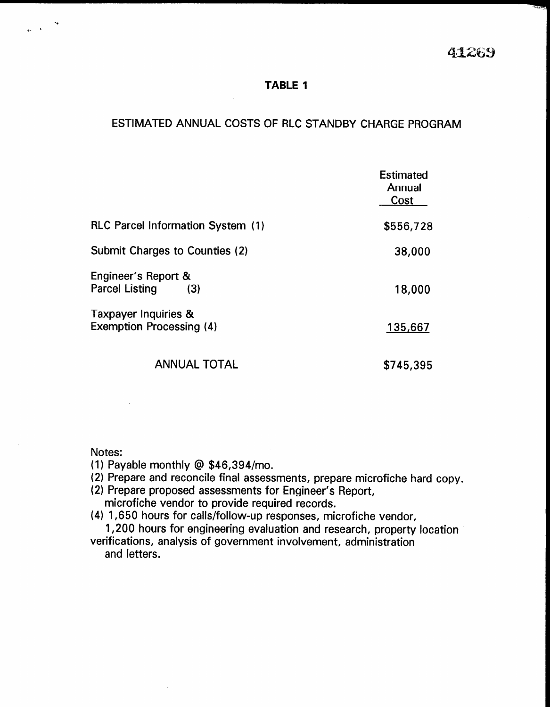#### TABLE 1

## ESTIMATED ANNUAL COSTS OF RLC STANDBY CHARGE PROGRAM

|                                                         | <b>Estimated</b><br>Annual<br>Cost |
|---------------------------------------------------------|------------------------------------|
| <b>RLC Parcel Information System (1)</b>                | \$556,728                          |
| Submit Charges to Counties (2)                          | 38,000                             |
| Engineer's Report &<br><b>Parcel Listing</b><br>(3)     | 18,000                             |
| Taxpayer Inquiries &<br><b>Exemption Processing (4)</b> | 135,667                            |
| <b>ANNUAL TOTAL</b>                                     | \$745,395                          |

Notes:

- (1) Payable monthly @ \$46,394/mo.
- $(2)$  Prepare and reconcilently  $\in \Psi$  +0,00 +,1110. (2) Propose and room one middle assossments, propose mit
- (2) Prepare proposed assessments for Engineer's Report,<br>microfiche vendor to provide required records.
- (4) 1,650 hours for calls/follow-up responses, microfiche vendor,  $1,000$  hours for calls/follow-up responses, inicronicile vehicle, versions for engineering evaluation and research, proper
- verifications, analysis of government involvement, administration<br>and letters.